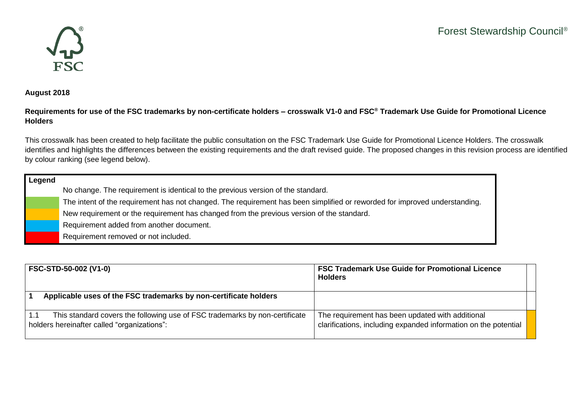

## **August 2018**

## **Requirements for use of the FSC trademarks by non-certificate holders – crosswalk V1-0 and FSC® Trademark Use Guide for Promotional Licence Holders**

This crosswalk has been created to help facilitate the public consultation on the FSC Trademark Use Guide for Promotional Licence Holders. The crosswalk identifies and highlights the differences between the existing requirements and the draft revised guide. The proposed changes in this revision process are identified by colour ranking (see legend below).

## **Legend** No change. The requirement is identical to the previous version of the standard. The intent of the requirement has not changed. The requirement has been simplified or reworded for improved understanding. New requirement or the requirement has changed from the previous version of the standard.

Requirement added from another document.

Requirement removed or not included.

| <b>FSC-STD-50-002 (V1-0)</b>                                                                                               | <b>FSC Trademark Use Guide for Promotional Licence</b><br><b>Holders</b>                                            |
|----------------------------------------------------------------------------------------------------------------------------|---------------------------------------------------------------------------------------------------------------------|
| Applicable uses of the FSC trademarks by non-certificate holders                                                           |                                                                                                                     |
| This standard covers the following use of FSC trademarks by non-certificate<br>holders hereinafter called "organizations": | The requirement has been updated with additional<br>clarifications, including expanded information on the potential |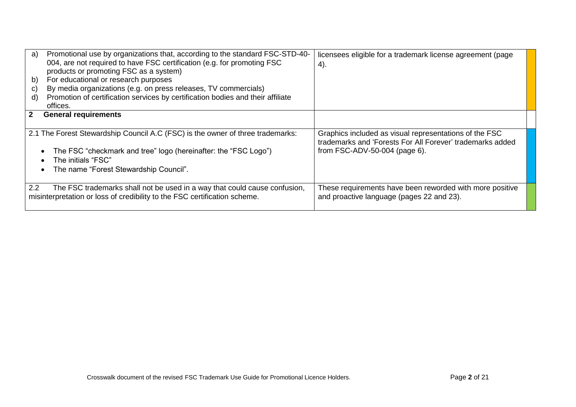| a)<br>b)<br>C)<br>d) | Promotional use by organizations that, according to the standard FSC-STD-40-<br>004, are not required to have FSC certification (e.g. for promoting FSC<br>products or promoting FSC as a system)<br>For educational or research purposes<br>By media organizations (e.g. on press releases, TV commercials)<br>Promotion of certification services by certification bodies and their affiliate<br>offices. | licensees eligible for a trademark license agreement (page<br>4).                                                                                    |
|----------------------|-------------------------------------------------------------------------------------------------------------------------------------------------------------------------------------------------------------------------------------------------------------------------------------------------------------------------------------------------------------------------------------------------------------|------------------------------------------------------------------------------------------------------------------------------------------------------|
| $2^{\circ}$          | <b>General requirements</b>                                                                                                                                                                                                                                                                                                                                                                                 |                                                                                                                                                      |
|                      | 2.1 The Forest Stewardship Council A.C (FSC) is the owner of three trademarks:<br>The FSC "checkmark and tree" logo (hereinafter: the "FSC Logo")<br>The initials "FSC"<br>The name "Forest Stewardship Council".                                                                                                                                                                                           | Graphics included as visual representations of the FSC<br>trademarks and 'Forests For All Forever' trademarks added<br>from FSC-ADV-50-004 (page 6). |
| $2.2\phantom{0}$     | The FSC trademarks shall not be used in a way that could cause confusion,<br>misinterpretation or loss of credibility to the FSC certification scheme.                                                                                                                                                                                                                                                      | These requirements have been reworded with more positive<br>and proactive language (pages 22 and 23).                                                |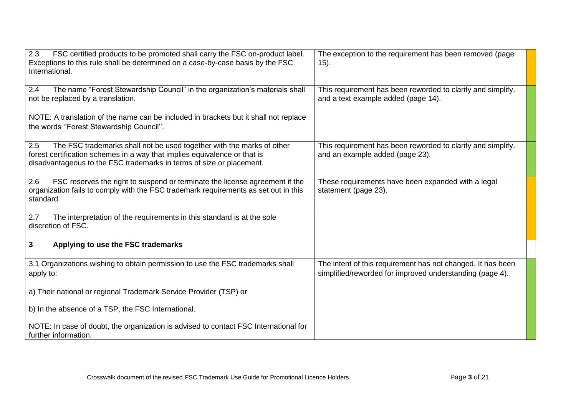| 2.3<br>FSC certified products to be promoted shall carry the FSC on-product label.<br>Exceptions to this rule shall be determined on a case-by-case basis by the FSC<br>International.                                            | The exception to the requirement has been removed (page<br>$(15)$ .                                                     |
|-----------------------------------------------------------------------------------------------------------------------------------------------------------------------------------------------------------------------------------|-------------------------------------------------------------------------------------------------------------------------|
| The name "Forest Stewardship Council" in the organization's materials shall<br>2.4<br>not be replaced by a translation.                                                                                                           | This requirement has been reworded to clarify and simplify,<br>and a text example added (page 14).                      |
| NOTE: A translation of the name can be included in brackets but it shall not replace<br>the words "Forest Stewardship Council".                                                                                                   |                                                                                                                         |
| 2.5<br>The FSC trademarks shall not be used together with the marks of other<br>forest certification schemes in a way that implies equivalence or that is<br>disadvantageous to the FSC trademarks in terms of size or placement. | This requirement has been reworded to clarify and simplify,<br>and an example added (page 23).                          |
| FSC reserves the right to suspend or terminate the license agreement if the<br>2.6<br>organization fails to comply with the FSC trademark requirements as set out in this<br>standard.                                            | These requirements have been expanded with a legal<br>statement (page 23).                                              |
| The interpretation of the requirements in this standard is at the sole<br>2.7<br>discretion of FSC.                                                                                                                               |                                                                                                                         |
| Applying to use the FSC trademarks<br>3                                                                                                                                                                                           |                                                                                                                         |
| 3.1 Organizations wishing to obtain permission to use the FSC trademarks shall<br>apply to:                                                                                                                                       | The intent of this requirement has not changed. It has been<br>simplified/reworded for improved understanding (page 4). |
| a) Their national or regional Trademark Service Provider (TSP) or                                                                                                                                                                 |                                                                                                                         |
| b) In the absence of a TSP, the FSC International.                                                                                                                                                                                |                                                                                                                         |
| NOTE: In case of doubt, the organization is advised to contact FSC International for<br>further information.                                                                                                                      |                                                                                                                         |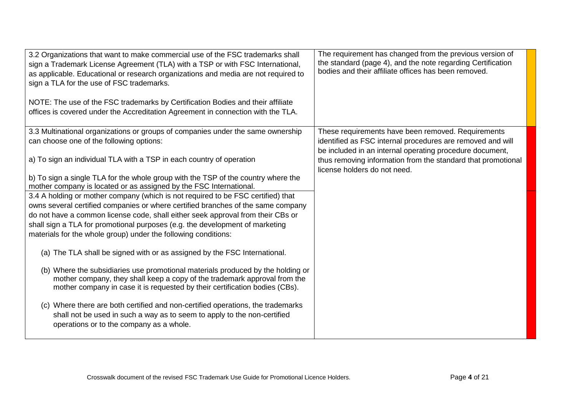| The requirement has changed from the previous version of<br>3.2 Organizations that want to make commercial use of the FSC trademarks shall<br>the standard (page 4), and the note regarding Certification<br>sign a Trademark License Agreement (TLA) with a TSP or with FSC International,<br>bodies and their affiliate offices has been removed.<br>as applicable. Educational or research organizations and media are not required to<br>sign a TLA for the use of FSC trademarks.<br>NOTE: The use of the FSC trademarks by Certification Bodies and their affiliate<br>offices is covered under the Accreditation Agreement in connection with the TLA. |  |
|---------------------------------------------------------------------------------------------------------------------------------------------------------------------------------------------------------------------------------------------------------------------------------------------------------------------------------------------------------------------------------------------------------------------------------------------------------------------------------------------------------------------------------------------------------------------------------------------------------------------------------------------------------------|--|
| 3.3 Multinational organizations or groups of companies under the same ownership<br>These requirements have been removed. Requirements                                                                                                                                                                                                                                                                                                                                                                                                                                                                                                                         |  |
| can choose one of the following options:<br>identified as FSC internal procedures are removed and will<br>be included in an internal operating procedure document,                                                                                                                                                                                                                                                                                                                                                                                                                                                                                            |  |
| a) To sign an individual TLA with a TSP in each country of operation<br>thus removing information from the standard that promotional<br>license holders do not need.                                                                                                                                                                                                                                                                                                                                                                                                                                                                                          |  |
| b) To sign a single TLA for the whole group with the TSP of the country where the                                                                                                                                                                                                                                                                                                                                                                                                                                                                                                                                                                             |  |
| mother company is located or as assigned by the FSC International.                                                                                                                                                                                                                                                                                                                                                                                                                                                                                                                                                                                            |  |
| 3.4 A holding or mother company (which is not required to be FSC certified) that                                                                                                                                                                                                                                                                                                                                                                                                                                                                                                                                                                              |  |
| owns several certified companies or where certified branches of the same company<br>do not have a common license code, shall either seek approval from their CBs or                                                                                                                                                                                                                                                                                                                                                                                                                                                                                           |  |
| shall sign a TLA for promotional purposes (e.g. the development of marketing                                                                                                                                                                                                                                                                                                                                                                                                                                                                                                                                                                                  |  |
| materials for the whole group) under the following conditions:                                                                                                                                                                                                                                                                                                                                                                                                                                                                                                                                                                                                |  |
| (a) The TLA shall be signed with or as assigned by the FSC International.                                                                                                                                                                                                                                                                                                                                                                                                                                                                                                                                                                                     |  |
| (b) Where the subsidiaries use promotional materials produced by the holding or                                                                                                                                                                                                                                                                                                                                                                                                                                                                                                                                                                               |  |
| mother company, they shall keep a copy of the trademark approval from the                                                                                                                                                                                                                                                                                                                                                                                                                                                                                                                                                                                     |  |
| mother company in case it is requested by their certification bodies (CBs).                                                                                                                                                                                                                                                                                                                                                                                                                                                                                                                                                                                   |  |
| (c) Where there are both certified and non-certified operations, the trademarks                                                                                                                                                                                                                                                                                                                                                                                                                                                                                                                                                                               |  |
| shall not be used in such a way as to seem to apply to the non-certified                                                                                                                                                                                                                                                                                                                                                                                                                                                                                                                                                                                      |  |
| operations or to the company as a whole.                                                                                                                                                                                                                                                                                                                                                                                                                                                                                                                                                                                                                      |  |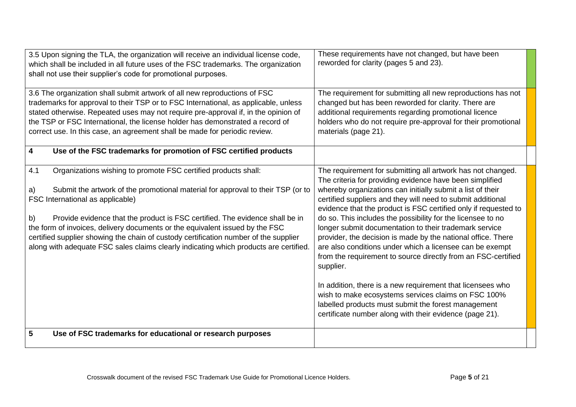| 3.5 Upon signing the TLA, the organization will receive an individual license code,<br>which shall be included in all future uses of the FSC trademarks. The organization<br>shall not use their supplier's code for promotional purposes.                                                                                                                                                                                                                                                                                                                | These requirements have not changed, but have been<br>reworded for clarity (pages 5 and 23).                                                                                                                                                                                                                                                                                                                                                                                                                                                                                                                                                               |
|-----------------------------------------------------------------------------------------------------------------------------------------------------------------------------------------------------------------------------------------------------------------------------------------------------------------------------------------------------------------------------------------------------------------------------------------------------------------------------------------------------------------------------------------------------------|------------------------------------------------------------------------------------------------------------------------------------------------------------------------------------------------------------------------------------------------------------------------------------------------------------------------------------------------------------------------------------------------------------------------------------------------------------------------------------------------------------------------------------------------------------------------------------------------------------------------------------------------------------|
| 3.6 The organization shall submit artwork of all new reproductions of FSC<br>trademarks for approval to their TSP or to FSC International, as applicable, unless<br>stated otherwise. Repeated uses may not require pre-approval if, in the opinion of<br>the TSP or FSC International, the license holder has demonstrated a record of<br>correct use. In this case, an agreement shall be made for periodic review.                                                                                                                                     | The requirement for submitting all new reproductions has not<br>changed but has been reworded for clarity. There are<br>additional requirements regarding promotional licence<br>holders who do not require pre-approval for their promotional<br>materials (page 21).                                                                                                                                                                                                                                                                                                                                                                                     |
| $\overline{\mathbf{4}}$<br>Use of the FSC trademarks for promotion of FSC certified products                                                                                                                                                                                                                                                                                                                                                                                                                                                              |                                                                                                                                                                                                                                                                                                                                                                                                                                                                                                                                                                                                                                                            |
| 4.1<br>Organizations wishing to promote FSC certified products shall:<br>Submit the artwork of the promotional material for approval to their TSP (or to<br>a)<br>FSC International as applicable)<br>Provide evidence that the product is FSC certified. The evidence shall be in<br>b)<br>the form of invoices, delivery documents or the equivalent issued by the FSC<br>certified supplier showing the chain of custody certification number of the supplier<br>along with adequate FSC sales claims clearly indicating which products are certified. | The requirement for submitting all artwork has not changed.<br>The criteria for providing evidence have been simplified<br>whereby organizations can initially submit a list of their<br>certified suppliers and they will need to submit additional<br>evidence that the product is FSC certified only if requested to<br>do so. This includes the possibility for the licensee to no<br>longer submit documentation to their trademark service<br>provider, the decision is made by the national office. There<br>are also conditions under which a licensee can be exempt<br>from the requirement to source directly from an FSC-certified<br>supplier. |
|                                                                                                                                                                                                                                                                                                                                                                                                                                                                                                                                                           | In addition, there is a new requirement that licensees who<br>wish to make ecosystems services claims on FSC 100%<br>labelled products must submit the forest management<br>certificate number along with their evidence (page 21).                                                                                                                                                                                                                                                                                                                                                                                                                        |
| $5\phantom{1}$<br>Use of FSC trademarks for educational or research purposes                                                                                                                                                                                                                                                                                                                                                                                                                                                                              |                                                                                                                                                                                                                                                                                                                                                                                                                                                                                                                                                                                                                                                            |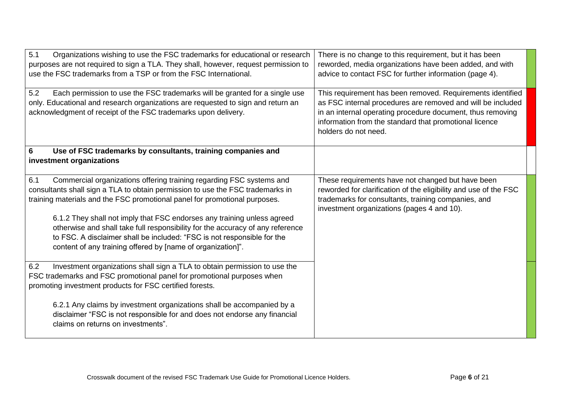| 5.1<br>Organizations wishing to use the FSC trademarks for educational or research<br>purposes are not required to sign a TLA. They shall, however, request permission to<br>use the FSC trademarks from a TSP or from the FSC International.                                                       | There is no change to this requirement, but it has been<br>reworded, media organizations have been added, and with<br>advice to contact FSC for further information (page 4).                                                                                             |
|-----------------------------------------------------------------------------------------------------------------------------------------------------------------------------------------------------------------------------------------------------------------------------------------------------|---------------------------------------------------------------------------------------------------------------------------------------------------------------------------------------------------------------------------------------------------------------------------|
| Each permission to use the FSC trademarks will be granted for a single use<br>5.2<br>only. Educational and research organizations are requested to sign and return an<br>acknowledgment of receipt of the FSC trademarks upon delivery.                                                             | This requirement has been removed. Requirements identified<br>as FSC internal procedures are removed and will be included<br>in an internal operating procedure document, thus removing<br>information from the standard that promotional licence<br>holders do not need. |
| 6<br>Use of FSC trademarks by consultants, training companies and<br>investment organizations                                                                                                                                                                                                       |                                                                                                                                                                                                                                                                           |
| Commercial organizations offering training regarding FSC systems and<br>6.1<br>consultants shall sign a TLA to obtain permission to use the FSC trademarks in<br>training materials and the FSC promotional panel for promotional purposes.                                                         | These requirements have not changed but have been<br>reworded for clarification of the eligibility and use of the FSC<br>trademarks for consultants, training companies, and<br>investment organizations (pages 4 and 10).                                                |
| 6.1.2 They shall not imply that FSC endorses any training unless agreed<br>otherwise and shall take full responsibility for the accuracy of any reference<br>to FSC. A disclaimer shall be included: "FSC is not responsible for the<br>content of any training offered by [name of organization]". |                                                                                                                                                                                                                                                                           |
| Investment organizations shall sign a TLA to obtain permission to use the<br>6.2<br>FSC trademarks and FSC promotional panel for promotional purposes when<br>promoting investment products for FSC certified forests.                                                                              |                                                                                                                                                                                                                                                                           |
| 6.2.1 Any claims by investment organizations shall be accompanied by a<br>disclaimer "FSC is not responsible for and does not endorse any financial<br>claims on returns on investments".                                                                                                           |                                                                                                                                                                                                                                                                           |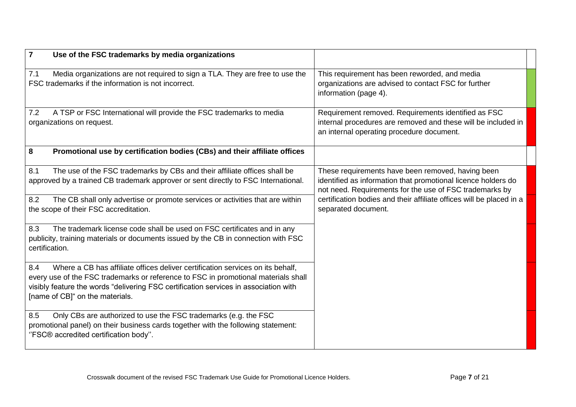| $\overline{7}$<br>Use of the FSC trademarks by media organizations                                                                                                                                                                                                                                     |                                                                                                                                                                               |
|--------------------------------------------------------------------------------------------------------------------------------------------------------------------------------------------------------------------------------------------------------------------------------------------------------|-------------------------------------------------------------------------------------------------------------------------------------------------------------------------------|
| Media organizations are not required to sign a TLA. They are free to use the<br>7.1<br>FSC trademarks if the information is not incorrect.                                                                                                                                                             | This requirement has been reworded, and media<br>organizations are advised to contact FSC for further<br>information (page 4).                                                |
| A TSP or FSC International will provide the FSC trademarks to media<br>7.2<br>organizations on request.                                                                                                                                                                                                | Requirement removed. Requirements identified as FSC<br>internal procedures are removed and these will be included in<br>an internal operating procedure document.             |
| 8<br>Promotional use by certification bodies (CBs) and their affiliate offices                                                                                                                                                                                                                         |                                                                                                                                                                               |
| The use of the FSC trademarks by CBs and their affiliate offices shall be<br>8.1<br>approved by a trained CB trademark approver or sent directly to FSC International.                                                                                                                                 | These requirements have been removed, having been<br>identified as information that promotional licence holders do<br>not need. Requirements for the use of FSC trademarks by |
| The CB shall only advertise or promote services or activities that are within<br>8.2<br>the scope of their FSC accreditation.                                                                                                                                                                          | certification bodies and their affiliate offices will be placed in a<br>separated document.                                                                                   |
| The trademark license code shall be used on FSC certificates and in any<br>8.3<br>publicity, training materials or documents issued by the CB in connection with FSC<br>certification.                                                                                                                 |                                                                                                                                                                               |
| Where a CB has affiliate offices deliver certification services on its behalf,<br>8.4<br>every use of the FSC trademarks or reference to FSC in promotional materials shall<br>visibly feature the words "delivering FSC certification services in association with<br>[name of CB]" on the materials. |                                                                                                                                                                               |
| Only CBs are authorized to use the FSC trademarks (e.g. the FSC<br>8.5<br>promotional panel) on their business cards together with the following statement:<br>"FSC® accredited certification body".                                                                                                   |                                                                                                                                                                               |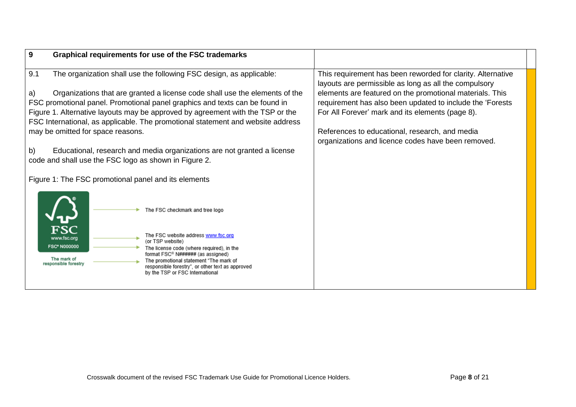| 9<br>Graphical requirements for use of the FSC trademarks                                                                                                                                                                                                          |                                                                                                                       |
|--------------------------------------------------------------------------------------------------------------------------------------------------------------------------------------------------------------------------------------------------------------------|-----------------------------------------------------------------------------------------------------------------------|
| 9.1<br>The organization shall use the following FSC design, as applicable:                                                                                                                                                                                         | This requirement has been reworded for clarity. Alternative<br>layouts are permissible as long as all the compulsory  |
| Organizations that are granted a license code shall use the elements of the<br>a)<br>FSC promotional panel. Promotional panel graphics and texts can be found in                                                                                                   | elements are featured on the promotional materials. This<br>requirement has also been updated to include the 'Forests |
| Figure 1. Alternative layouts may be approved by agreement with the TSP or the<br>FSC International, as applicable. The promotional statement and website address                                                                                                  | For All Forever' mark and its elements (page 8).                                                                      |
| may be omitted for space reasons.                                                                                                                                                                                                                                  | References to educational, research, and media<br>organizations and licence codes have been removed.                  |
| Educational, research and media organizations are not granted a license<br>b)<br>code and shall use the FSC logo as shown in Figure 2.                                                                                                                             |                                                                                                                       |
| Figure 1: The FSC promotional panel and its elements                                                                                                                                                                                                               |                                                                                                                       |
| The FSC checkmark and tree logo                                                                                                                                                                                                                                    |                                                                                                                       |
| The FSC website address www.fsc.org<br>www.fsc.org<br>(or TSP website)<br><b>FSC® N000000</b>                                                                                                                                                                      |                                                                                                                       |
| The license code (where required), in the<br>format FSC <sup>®</sup> N###### (as assigned)<br>The mark of<br>The promotional statement "The mark of<br>responsible forestry<br>responsible forestry", or other text as approved<br>by the TSP or FSC International |                                                                                                                       |
|                                                                                                                                                                                                                                                                    |                                                                                                                       |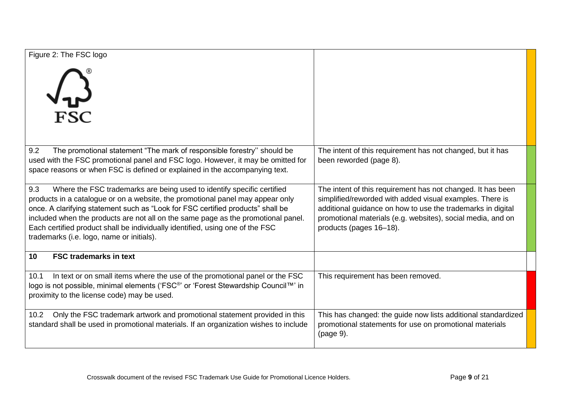| Figure 2: The FSC logo<br><b>V-ک</b><br>FSC                                                                                                                                                                                                                                                                                                                                                                                                                           |                                                                                                                                                                                                                                                                                  |
|-----------------------------------------------------------------------------------------------------------------------------------------------------------------------------------------------------------------------------------------------------------------------------------------------------------------------------------------------------------------------------------------------------------------------------------------------------------------------|----------------------------------------------------------------------------------------------------------------------------------------------------------------------------------------------------------------------------------------------------------------------------------|
| The promotional statement "The mark of responsible forestry" should be<br>9.2<br>used with the FSC promotional panel and FSC logo. However, it may be omitted for<br>space reasons or when FSC is defined or explained in the accompanying text.                                                                                                                                                                                                                      | The intent of this requirement has not changed, but it has<br>been reworded (page 8).                                                                                                                                                                                            |
| Where the FSC trademarks are being used to identify specific certified<br>9.3<br>products in a catalogue or on a website, the promotional panel may appear only<br>once. A clarifying statement such as "Look for FSC certified products" shall be<br>included when the products are not all on the same page as the promotional panel.<br>Each certified product shall be individually identified, using one of the FSC<br>trademarks (i.e. logo, name or initials). | The intent of this requirement has not changed. It has been<br>simplified/reworded with added visual examples. There is<br>additional guidance on how to use the trademarks in digital<br>promotional materials (e.g. websites), social media, and on<br>products (pages 16-18). |
| <b>FSC trademarks in text</b><br>10                                                                                                                                                                                                                                                                                                                                                                                                                                   |                                                                                                                                                                                                                                                                                  |
| In text or on small items where the use of the promotional panel or the FSC<br>10.1<br>logo is not possible, minimal elements ('FSC®' or 'Forest Stewardship Council™' in<br>proximity to the license code) may be used.                                                                                                                                                                                                                                              | This requirement has been removed.                                                                                                                                                                                                                                               |
| Only the FSC trademark artwork and promotional statement provided in this<br>10.2<br>standard shall be used in promotional materials. If an organization wishes to include                                                                                                                                                                                                                                                                                            | This has changed: the guide now lists additional standardized<br>promotional statements for use on promotional materials<br>(page 9).                                                                                                                                            |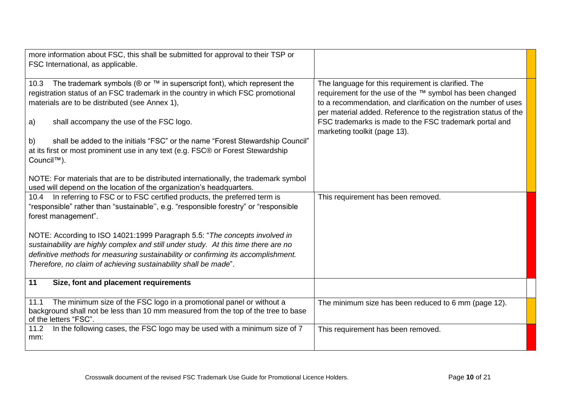| more information about FSC, this shall be submitted for approval to their TSP or<br>FSC International, as applicable.                                                  |                                                                                                                                 |
|------------------------------------------------------------------------------------------------------------------------------------------------------------------------|---------------------------------------------------------------------------------------------------------------------------------|
| The trademark symbols (® or ™ in superscript font), which represent the<br>10.3                                                                                        | The language for this requirement is clarified. The                                                                             |
| registration status of an FSC trademark in the country in which FSC promotional                                                                                        | requirement for the use of the ™ symbol has been changed                                                                        |
| materials are to be distributed (see Annex 1),                                                                                                                         | to a recommendation, and clarification on the number of uses<br>per material added. Reference to the registration status of the |
| shall accompany the use of the FSC logo.<br>a)                                                                                                                         | FSC trademarks is made to the FSC trademark portal and                                                                          |
|                                                                                                                                                                        | marketing toolkit (page 13).                                                                                                    |
| shall be added to the initials "FSC" or the name "Forest Stewardship Council"<br>b)<br>at its first or most prominent use in any text (e.g. FSC® or Forest Stewardship |                                                                                                                                 |
| Council <sup>™</sup> ).                                                                                                                                                |                                                                                                                                 |
|                                                                                                                                                                        |                                                                                                                                 |
| NOTE: For materials that are to be distributed internationally, the trademark symbol<br>used will depend on the location of the organization's headquarters.           |                                                                                                                                 |
| 10.4 In referring to FSC or to FSC certified products, the preferred term is                                                                                           | This requirement has been removed.                                                                                              |
| "responsible" rather than "sustainable", e.g. "responsible forestry" or "responsible                                                                                   |                                                                                                                                 |
| forest management".                                                                                                                                                    |                                                                                                                                 |
|                                                                                                                                                                        |                                                                                                                                 |
| NOTE: According to ISO 14021:1999 Paragraph 5.5: "The concepts involved in<br>sustainability are highly complex and still under study. At this time there are no       |                                                                                                                                 |
| definitive methods for measuring sustainability or confirming its accomplishment.                                                                                      |                                                                                                                                 |
| Therefore, no claim of achieving sustainability shall be made".                                                                                                        |                                                                                                                                 |
|                                                                                                                                                                        |                                                                                                                                 |
| 11<br>Size, font and placement requirements                                                                                                                            |                                                                                                                                 |
| The minimum size of the FSC logo in a promotional panel or without a<br>11.1                                                                                           | The minimum size has been reduced to 6 mm (page 12).                                                                            |
| background shall not be less than 10 mm measured from the top of the tree to base<br>of the letters "FSC".                                                             |                                                                                                                                 |
| In the following cases, the FSC logo may be used with a minimum size of 7<br>11.2                                                                                      | This requirement has been removed.                                                                                              |
| mm:                                                                                                                                                                    |                                                                                                                                 |
|                                                                                                                                                                        |                                                                                                                                 |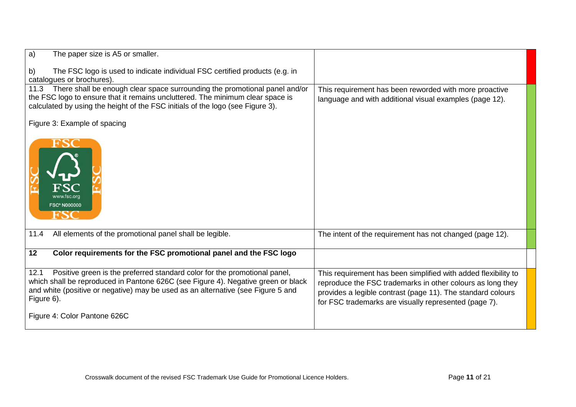| a)<br>The paper size is A5 or smaller.                                                                                                                                                                                                                                   |                                                                                                                                                                                                                                                      |
|--------------------------------------------------------------------------------------------------------------------------------------------------------------------------------------------------------------------------------------------------------------------------|------------------------------------------------------------------------------------------------------------------------------------------------------------------------------------------------------------------------------------------------------|
| The FSC logo is used to indicate individual FSC certified products (e.g. in<br>b)<br>catalogues or brochures).                                                                                                                                                           |                                                                                                                                                                                                                                                      |
| 11.3 There shall be enough clear space surrounding the promotional panel and/or<br>the FSC logo to ensure that it remains uncluttered. The minimum clear space is<br>calculated by using the height of the FSC initials of the logo (see Figure 3).                      | This requirement has been reworded with more proactive<br>language and with additional visual examples (page 12).                                                                                                                                    |
| Figure 3: Example of spacing                                                                                                                                                                                                                                             |                                                                                                                                                                                                                                                      |
| www.fsc.org<br><b>FSC® N000000</b><br>ю                                                                                                                                                                                                                                  |                                                                                                                                                                                                                                                      |
| All elements of the promotional panel shall be legible.<br>11.4                                                                                                                                                                                                          | The intent of the requirement has not changed (page 12).                                                                                                                                                                                             |
| Color requirements for the FSC promotional panel and the FSC logo<br>12                                                                                                                                                                                                  |                                                                                                                                                                                                                                                      |
| Positive green is the preferred standard color for the promotional panel,<br>12.1<br>which shall be reproduced in Pantone 626C (see Figure 4). Negative green or black<br>and white (positive or negative) may be used as an alternative (see Figure 5 and<br>Figure 6). | This requirement has been simplified with added flexibility to<br>reproduce the FSC trademarks in other colours as long they<br>provides a legible contrast (page 11). The standard colours<br>for FSC trademarks are visually represented (page 7). |
| Figure 4: Color Pantone 626C                                                                                                                                                                                                                                             |                                                                                                                                                                                                                                                      |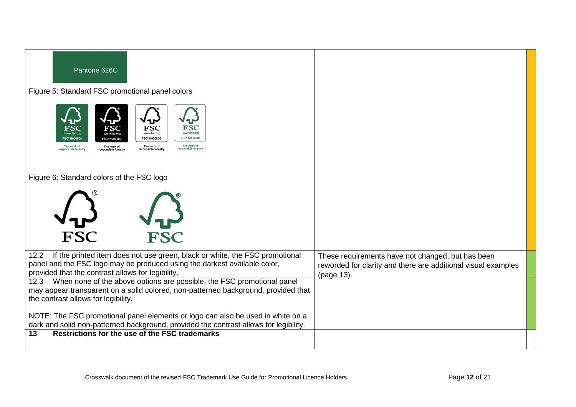| Pantone 626C                                                                                                                                                                                                                  |                                                                                                                                  |
|-------------------------------------------------------------------------------------------------------------------------------------------------------------------------------------------------------------------------------|----------------------------------------------------------------------------------------------------------------------------------|
| Figure 5: Standard FSC promotional panel colors                                                                                                                                                                               |                                                                                                                                  |
| FSC<br>FSC<br>www.fsc.org<br>www.fsc.org<br><b>FSC<sup>®</sup> N000000</b><br><b>FSC* N000000</b><br>The mark of<br>The mark of<br>The mark of<br>The mark of<br>esponsible forestr<br>sponsible forestr<br>sponsible forestr |                                                                                                                                  |
| Figure 6: Standard colors of the FSC logo                                                                                                                                                                                     |                                                                                                                                  |
| <b>FSC</b><br><b>FSC</b>                                                                                                                                                                                                      |                                                                                                                                  |
| If the printed item does not use green, black or white, the FSC promotional<br>12.2                                                                                                                                           |                                                                                                                                  |
| panel and the FSC logo may be produced using the darkest available color,<br>provided that the contrast allows for legibility.                                                                                                | These requirements have not changed, but has been<br>reworded for clarity and there are additional visual examples<br>(page 13). |
| When none of the above options are possible, the FSC promotional panel<br>12.3<br>may appear transparent on a solid colored, non-patterned background, provided that<br>the contrast allows for legibility.                   |                                                                                                                                  |
| NOTE: The FSC promotional panel elements or logo can also be used in white on a<br>dark and solid non-patterned background, provided the contrast allows for legibility.                                                      |                                                                                                                                  |
| Restrictions for the use of the FSC trademarks<br>13                                                                                                                                                                          |                                                                                                                                  |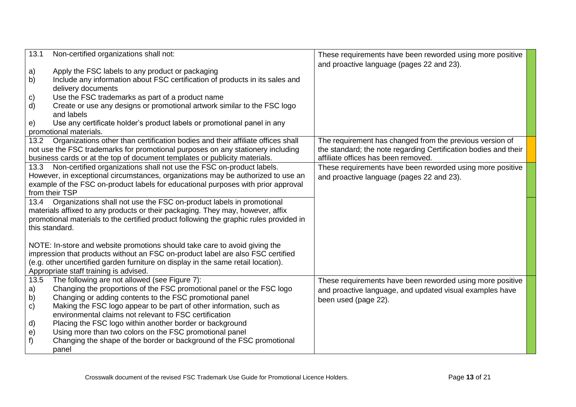| 13.1         | Non-certified organizations shall not:                                                 | These requirements have been reworded using more positive       |
|--------------|----------------------------------------------------------------------------------------|-----------------------------------------------------------------|
|              |                                                                                        | and proactive language (pages 22 and 23).                       |
| a)           | Apply the FSC labels to any product or packaging                                       |                                                                 |
| b)           | Include any information about FSC certification of products in its sales and           |                                                                 |
|              | delivery documents                                                                     |                                                                 |
| C)           | Use the FSC trademarks as part of a product name                                       |                                                                 |
| d)           | Create or use any designs or promotional artwork similar to the FSC logo               |                                                                 |
|              | and labels                                                                             |                                                                 |
| e)           | Use any certificate holder's product labels or promotional panel in any                |                                                                 |
|              | promotional materials.                                                                 |                                                                 |
| 13.2         | Organizations other than certification bodies and their affiliate offices shall        | The requirement has changed from the previous version of        |
|              | not use the FSC trademarks for promotional purposes on any stationery including        | the standard; the note regarding Certification bodies and their |
|              | business cards or at the top of document templates or publicity materials.             | affiliate offices has been removed.                             |
| 13.3         | Non-certified organizations shall not use the FSC on-product labels.                   | These requirements have been reworded using more positive       |
|              | However, in exceptional circumstances, organizations may be authorized to use an       | and proactive language (pages 22 and 23).                       |
|              | example of the FSC on-product labels for educational purposes with prior approval      |                                                                 |
|              | from their TSP                                                                         |                                                                 |
| 13.4         | Organizations shall not use the FSC on-product labels in promotional                   |                                                                 |
|              | materials affixed to any products or their packaging. They may, however, affix         |                                                                 |
|              | promotional materials to the certified product following the graphic rules provided in |                                                                 |
|              | this standard.                                                                         |                                                                 |
|              |                                                                                        |                                                                 |
|              | NOTE: In-store and website promotions should take care to avoid giving the             |                                                                 |
|              | impression that products without an FSC on-product label are also FSC certified        |                                                                 |
|              | (e.g. other uncertified garden furniture on display in the same retail location).      |                                                                 |
|              | Appropriate staff training is advised.                                                 |                                                                 |
| 13.5         | The following are not allowed (see Figure 7):                                          | These requirements have been reworded using more positive       |
| a)           | Changing the proportions of the FSC promotional panel or the FSC logo                  | and proactive language, and updated visual examples have        |
| b)           | Changing or adding contents to the FSC promotional panel                               | been used (page 22).                                            |
| $\mathbf{c}$ | Making the FSC logo appear to be part of other information, such as                    |                                                                 |
|              | environmental claims not relevant to FSC certification                                 |                                                                 |
| d)           | Placing the FSC logo within another border or background                               |                                                                 |
| e)           | Using more than two colors on the FSC promotional panel                                |                                                                 |
| f)           | Changing the shape of the border or background of the FSC promotional                  |                                                                 |
|              | panel                                                                                  |                                                                 |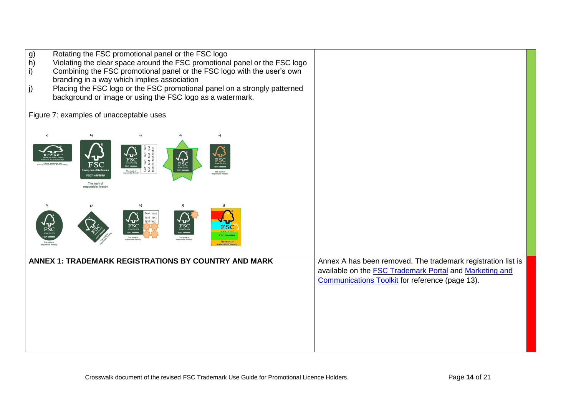| Rotating the FSC promotional panel or the FSC logo<br>g)<br>$\overline{h}$ )<br>Violating the clear space around the FSC promotional panel or the FSC logo<br>Combining the FSC promotional panel or the FSC logo with the user's own<br>i)<br>branding in a way which implies association<br>Placing the FSC logo or the FSC promotional panel on a strongly patterned<br>j)<br>background or image or using the FSC logo as a watermark. |                                                                                                                                                                                          |
|--------------------------------------------------------------------------------------------------------------------------------------------------------------------------------------------------------------------------------------------------------------------------------------------------------------------------------------------------------------------------------------------------------------------------------------------|------------------------------------------------------------------------------------------------------------------------------------------------------------------------------------------|
| Figure 7: examples of unacceptable uses<br>F<br>is û<br>G<br>$F\overline{S}C$<br>Text<br>text<br>text<br>The mark of<br>The mark of<br>The mark of<br>esponsible forest                                                                                                                                                                                                                                                                    |                                                                                                                                                                                          |
| h)<br>Text text<br>text text<br>ext text<br>$_{\mathrm{FSC}}$<br>The mark of                                                                                                                                                                                                                                                                                                                                                               |                                                                                                                                                                                          |
| ANNEX 1: TRADEMARK REGISTRATIONS BY COUNTRY AND MARK                                                                                                                                                                                                                                                                                                                                                                                       | Annex A has been removed. The trademark registration list is<br>available on the <b>FSC Trademark Portal</b> and <b>Marketing and</b><br>Communications Toolkit for reference (page 13). |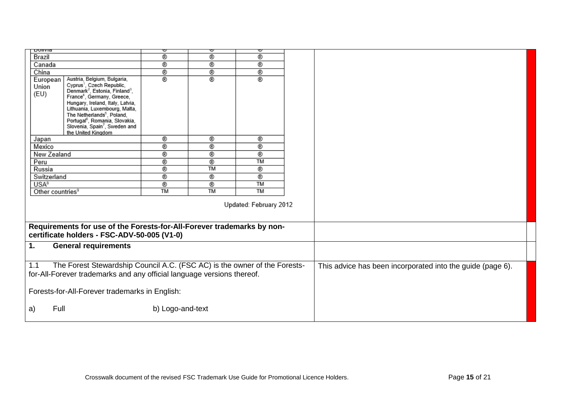| υνιινια                                                                                                                                                    |                                                                                                                                                                                                                                                                                                                                                                                    | ∾              | ∾              | ⋓                                                          |  |  |
|------------------------------------------------------------------------------------------------------------------------------------------------------------|------------------------------------------------------------------------------------------------------------------------------------------------------------------------------------------------------------------------------------------------------------------------------------------------------------------------------------------------------------------------------------|----------------|----------------|------------------------------------------------------------|--|--|
| Brazil                                                                                                                                                     |                                                                                                                                                                                                                                                                                                                                                                                    | ®              | ®              | ®                                                          |  |  |
| Canada                                                                                                                                                     |                                                                                                                                                                                                                                                                                                                                                                                    | $^{\circ}$     | ®              | ®                                                          |  |  |
| China                                                                                                                                                      |                                                                                                                                                                                                                                                                                                                                                                                    | ®              | ®              | ®                                                          |  |  |
| European<br>Union<br>(EU)                                                                                                                                  | Austria, Belgium, Bulgaria,<br>Cyprus <sup>1</sup> , Czech Republic,<br>Denmark <sup>2</sup> , Estonia, Finland <sup>3</sup> ,<br>France <sup>4</sup> , Germany, Greece,<br>Hungary, Ireland, Italy, Latvia,<br>Lithuania, Luxembourg, Malta,<br>The Netherlands <sup>5</sup> , Poland,<br>Portugal <sup>6</sup> , Romania, Slovakia,<br>Slovenia, Spain <sup>7</sup> , Sweden and | ®              | ®              | ®                                                          |  |  |
|                                                                                                                                                            | the United Kingdom                                                                                                                                                                                                                                                                                                                                                                 |                |                |                                                            |  |  |
| Japan                                                                                                                                                      |                                                                                                                                                                                                                                                                                                                                                                                    | ®              | ®              | ®                                                          |  |  |
| Mexico                                                                                                                                                     |                                                                                                                                                                                                                                                                                                                                                                                    | ®              | ⊛              | ®                                                          |  |  |
| New Zealand                                                                                                                                                |                                                                                                                                                                                                                                                                                                                                                                                    | $^{\circ}$     | ⊛              | ◉                                                          |  |  |
| Peru                                                                                                                                                       |                                                                                                                                                                                                                                                                                                                                                                                    | ◉              | ⊛              | <b>TM</b>                                                  |  |  |
| Russia                                                                                                                                                     |                                                                                                                                                                                                                                                                                                                                                                                    | $^{\circ}$     | <b>TM</b>      | ®                                                          |  |  |
| Switzerland                                                                                                                                                |                                                                                                                                                                                                                                                                                                                                                                                    | $^{\circ}$     | ®              | ®                                                          |  |  |
| USA <sup>8</sup>                                                                                                                                           |                                                                                                                                                                                                                                                                                                                                                                                    | ®<br><b>TM</b> | ®<br><b>TM</b> | <b>TM</b><br><b>TM</b>                                     |  |  |
| Other countries <sup>9</sup>                                                                                                                               |                                                                                                                                                                                                                                                                                                                                                                                    |                |                |                                                            |  |  |
| Updated: February 2012                                                                                                                                     |                                                                                                                                                                                                                                                                                                                                                                                    |                |                |                                                            |  |  |
|                                                                                                                                                            | Requirements for use of the Forests-for-All-Forever trademarks by non-                                                                                                                                                                                                                                                                                                             |                |                |                                                            |  |  |
|                                                                                                                                                            | certificate holders - FSC-ADV-50-005 (V1-0)                                                                                                                                                                                                                                                                                                                                        |                |                |                                                            |  |  |
| 1.<br><b>General requirements</b>                                                                                                                          |                                                                                                                                                                                                                                                                                                                                                                                    |                |                |                                                            |  |  |
| The Forest Stewardship Council A.C. (FSC AC) is the owner of the Forests-<br>1.1<br>for-All-Forever trademarks and any official language versions thereof. |                                                                                                                                                                                                                                                                                                                                                                                    |                |                | This advice has been incorporated into the guide (page 6). |  |  |
| Forests-for-All-Forever trademarks in English:                                                                                                             |                                                                                                                                                                                                                                                                                                                                                                                    |                |                |                                                            |  |  |
| Full<br>b) Logo-and-text<br>a)                                                                                                                             |                                                                                                                                                                                                                                                                                                                                                                                    |                |                |                                                            |  |  |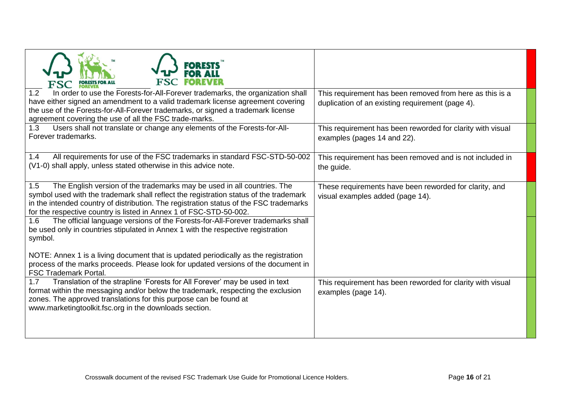| In order to use the Forests-for-All-Forever trademarks, the organization shall<br>1.2<br>have either signed an amendment to a valid trademark license agreement covering<br>the use of the Forests-for-All-Forever trademarks, or signed a trademark license<br>agreement covering the use of all the FSC trade-marks.                                                                                                                                                                                               | This requirement has been removed from here as this is a<br>duplication of an existing requirement (page 4). |
|----------------------------------------------------------------------------------------------------------------------------------------------------------------------------------------------------------------------------------------------------------------------------------------------------------------------------------------------------------------------------------------------------------------------------------------------------------------------------------------------------------------------|--------------------------------------------------------------------------------------------------------------|
| Users shall not translate or change any elements of the Forests-for-All-<br>1.3<br>Forever trademarks.                                                                                                                                                                                                                                                                                                                                                                                                               | This requirement has been reworded for clarity with visual<br>examples (pages 14 and 22).                    |
| All requirements for use of the FSC trademarks in standard FSC-STD-50-002<br>1.4<br>(V1-0) shall apply, unless stated otherwise in this advice note.                                                                                                                                                                                                                                                                                                                                                                 | This requirement has been removed and is not included in<br>the guide.                                       |
| The English version of the trademarks may be used in all countries. The<br>1.5<br>symbol used with the trademark shall reflect the registration status of the trademark<br>in the intended country of distribution. The registration status of the FSC trademarks<br>for the respective country is listed in Annex 1 of FSC-STD-50-002.<br>The official language versions of the Forests-for-All-Forever trademarks shall<br>1.6<br>be used only in countries stipulated in Annex 1 with the respective registration | These requirements have been reworded for clarity, and<br>visual examples added (page 14).                   |
| symbol.<br>NOTE: Annex 1 is a living document that is updated periodically as the registration<br>process of the marks proceeds. Please look for updated versions of the document in<br><b>FSC Trademark Portal.</b>                                                                                                                                                                                                                                                                                                 |                                                                                                              |
| Translation of the strapline 'Forests for All Forever' may be used in text<br>1.7<br>format within the messaging and/or below the trademark, respecting the exclusion<br>zones. The approved translations for this purpose can be found at<br>www.marketingtoolkit.fsc.org in the downloads section.                                                                                                                                                                                                                 | This requirement has been reworded for clarity with visual<br>examples (page 14).                            |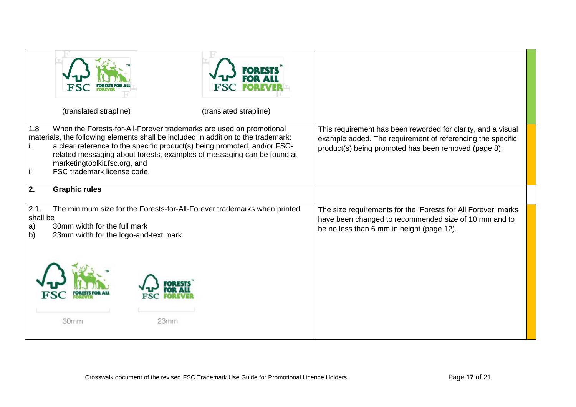| (translated strapline)                                                                                                                                                                                                                                                                                                                                                                       |                                                                                                                    | (translated strapline)                                                                                                                                              |                                                                                                                                                                                    |
|----------------------------------------------------------------------------------------------------------------------------------------------------------------------------------------------------------------------------------------------------------------------------------------------------------------------------------------------------------------------------------------------|--------------------------------------------------------------------------------------------------------------------|---------------------------------------------------------------------------------------------------------------------------------------------------------------------|------------------------------------------------------------------------------------------------------------------------------------------------------------------------------------|
| When the Forests-for-All-Forever trademarks are used on promotional<br>1.8<br>materials, the following elements shall be included in addition to the trademark:<br>a clear reference to the specific product(s) being promoted, and/or FSC-<br>related messaging about forests, examples of messaging can be found at<br>marketingtoolkit.fsc.org, and<br>FSC trademark license code.<br>ii. |                                                                                                                    |                                                                                                                                                                     | This requirement has been reworded for clarity, and a visual<br>example added. The requirement of referencing the specific<br>product(s) being promoted has been removed (page 8). |
| 2.<br><b>Graphic rules</b>                                                                                                                                                                                                                                                                                                                                                                   |                                                                                                                    |                                                                                                                                                                     |                                                                                                                                                                                    |
| 2.1.<br>shall be<br>30mm width for the full mark<br>a)<br>b)                                                                                                                                                                                                                                                                                                                                 | The minimum size for the Forests-for-All-Forever trademarks when printed<br>23mm width for the logo-and-text mark. | The size requirements for the 'Forests for All Forever' marks<br>have been changed to recommended size of 10 mm and to<br>be no less than 6 mm in height (page 12). |                                                                                                                                                                                    |
| 30mm                                                                                                                                                                                                                                                                                                                                                                                         | 23mm                                                                                                               |                                                                                                                                                                     |                                                                                                                                                                                    |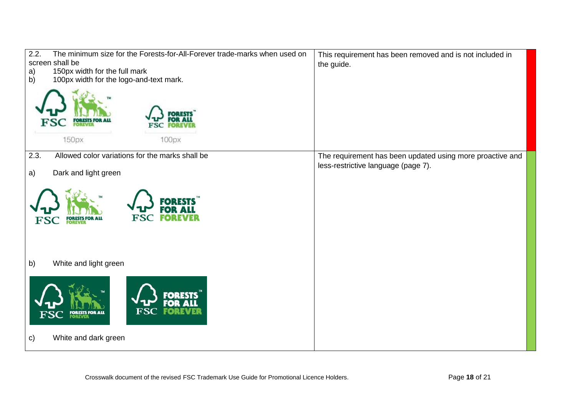| 2.2.<br>The minimum size for the Forests-for-All-Forever trade-marks when used on | This requirement has been removed and is not included in  |
|-----------------------------------------------------------------------------------|-----------------------------------------------------------|
| screen shall be                                                                   | the guide.                                                |
| 150px width for the full mark<br>a)                                               |                                                           |
| 100px width for the logo-and-text mark.<br>b)<br><b>FSC</b>                       |                                                           |
| 150px<br>100px                                                                    |                                                           |
| 2.3.<br>Allowed color variations for the marks shall be                           | The requirement has been updated using more proactive and |
| Dark and light green<br>a)                                                        | less-restrictive language (page 7).                       |
| IO)<br><b>FORESTS FOR ALL<br/>FOREVER</b><br>FSC                                  |                                                           |
| White and light green<br>b)                                                       |                                                           |
| пo<br><b>FSC</b><br>FO<br><b>FORESTS FOR ALL</b><br><b>FOREVER</b>                |                                                           |
| White and dark green<br>$\mathsf{c})$                                             |                                                           |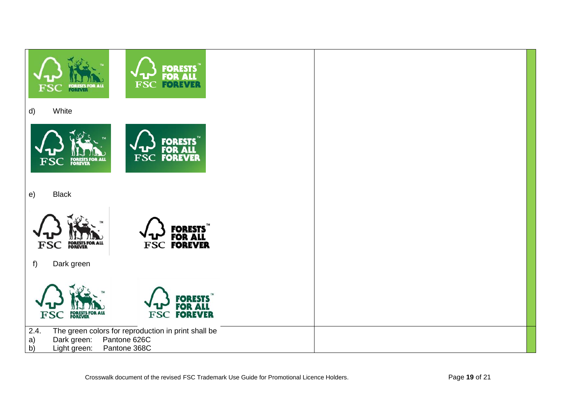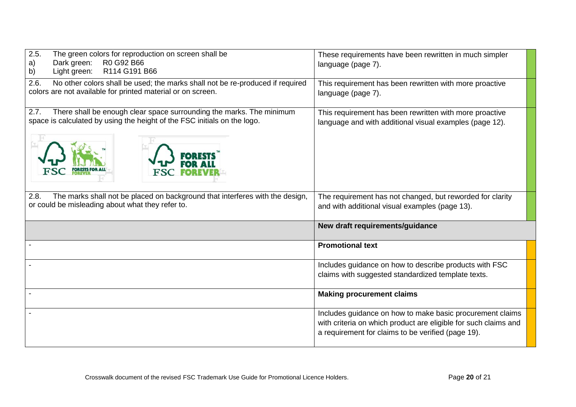| 2.5.<br>The green colors for reproduction on screen shall be<br>Dark green:<br>R0 G92 B66<br>a)<br>R114 G191 B66<br>Light green:<br>b)                   | These requirements have been rewritten in much simpler<br>language (page 7).                                       |
|----------------------------------------------------------------------------------------------------------------------------------------------------------|--------------------------------------------------------------------------------------------------------------------|
| 2.6.<br>No other colors shall be used; the marks shall not be re-produced if required<br>colors are not available for printed material or on screen.     | This requirement has been rewritten with more proactive<br>language (page 7).                                      |
| There shall be enough clear space surrounding the marks. The minimum<br>2.7.<br>space is calculated by using the height of the FSC initials on the logo. | This requirement has been rewritten with more proactive<br>language and with additional visual examples (page 12). |
| 2.8.<br>The marks shall not be placed on background that interferes with the design,<br>or could be misleading about what they refer to.                 | The requirement has not changed, but reworded for clarity<br>and with additional visual examples (page 13).        |
|                                                                                                                                                          |                                                                                                                    |
|                                                                                                                                                          | New draft requirements/guidance                                                                                    |
|                                                                                                                                                          | <b>Promotional text</b>                                                                                            |
|                                                                                                                                                          | Includes guidance on how to describe products with FSC<br>claims with suggested standardized template texts.       |
|                                                                                                                                                          | <b>Making procurement claims</b>                                                                                   |